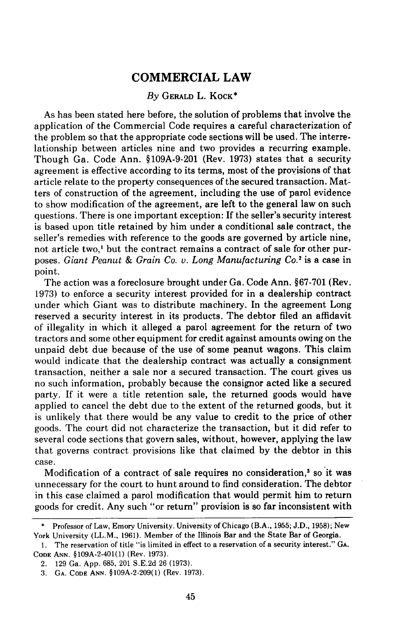# **COMMERCIAL LAW**

# *By* **GERALD** L. **KOCK\***

**As** has been stated here before, the solution of problems that involve the application of the Commercial Code requires a careful characterization of the problem so that the appropriate code sections will be used. The interrelationship between articles nine and two provides a recurring example. Though Ga. Code Ann. **§109A-9-201** (Rev. **1973)** states that a security agreement is effective according to its terms, most of the provisions of that article relate to the property consequences of the secured transaction. Matters of construction of the agreement, including the use of parol evidence to show modification of the agreement, are left to the general law on such questions. There is one important exception: **If** the seller's security interest is based upon title retained **by** him under a conditional sale contract, the seller's remedies with reference to the goods are governed **by** article nine, not article two,' but the contract remains a contract of sale for other purposes. *Giant Peanut & Grain Co. v. Long Manufacturing Co.2* is a case in point.

The action was a foreclosure brought under Ga. Code Ann. §67-701 (Rev. 1973) to enforce a security interest provided for in a dealership contract under which Giant was to distribute machinery. In the agreement Long reserved a security interest in its products. The debtor filed an affidavit of illegality in which it alleged a parol agreement for the return of two tractors and some other equipment for credit against amounts owing on the unpaid debt due because of the use of some peanut wagons. This claim would indicate that the dealership contract was actually a consignment transaction, neither a sale nor a secured transaction. The court gives us no such information, probably because the consignor acted like a secured party. If it were a title retention sale, the returned goods would have applied to cancel the debt due to the extent of the returned goods, but it is unlikely that there would be any value to credit to the price of other goods. The court did not characterize the transaction, but it did refer to several code sections that govern sales, without, however, applying the law that governs contract provisions like that claimed by the debtor in this case.

Modification of a contract of sale requires no consideration,<sup>3</sup> so it was unnecessary for the court to hunt around to find consideration. The debtor in this case claimed a parol modification that would permit him to return goods for credit. Any such "or return" provision is so far inconsistent with

Professor of Law, Emory University. University of Chicago (B.A., 1955; J.D., 1958); New York University (LL.M., 1961). Member of the Illinois Bar and the State Bar of Georgia.

<sup>1.</sup> The reservation of title "is limited in effect to a reservation of a security interest." GA. **CODE ANN.** §109A-2-401(1) (Rev. 1973).

<sup>2. 129</sup> Ga. App. 685, 201 S.E.2d 26 (1973).

<sup>3.</sup> **GA. CODE ANN.** §109A-2-209(1) (Rev. 1973).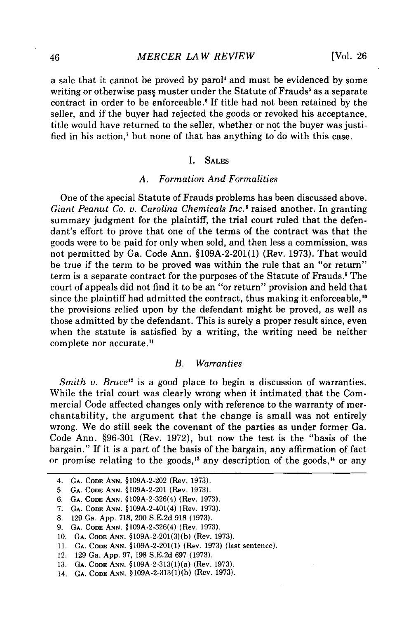a sale that it cannot be proved by parol<sup>4</sup> and must be evidenced by some writing or otherwise pass muster under the Statute of Frauds<sup>5</sup> as a separate contract in order to be enforceable.<sup>6</sup> If title had not been retained by the seller, and if the buyer had rejected the goods or revoked his acceptance, title would have returned to the seller, whether or not the buyer was justified in his action,' but none of that has anything to do with this case.

#### I. **SALES**

# *A. Formation And Formalities*

One of the special Statute of Frauds problems has been discussed above. *Giant Peanut Co. v. Carolina Chemicals Inc.'* raised another. In granting summary judgment for the plaintiff, the trial court ruled that the defendant's effort to prove that one of the terms of the contract was that the goods were to be paid for only when sold, and then less a commission, was not permitted by Ga. Code Ann. §109A-2-201(1) (Rev. 1973). That would be true if the term to be proved was within the rule that an "or return" term is a separate contract for the purposes of the Statute of Frauds. The court of appeals did not find it to be an "or return" provision and held that since the plaintiff had admitted the contract, thus making it enforceable,<sup>10</sup> the provisions relied upon by the defendant might be proved, as well as those admitted by the defendant. This is surely a proper result since, even when the statute is satisfied by a writing, the writing need be neither complete nor accurate.<sup>11</sup>

# *B. Warranties*

*Smith v. Bruce*<sup>12</sup> is a good place to begin a discussion of warranties. While the trial court was clearly wrong when it intimated that the Commercial Code affected changes only with reference to the warranty of merchantability, the argument that the change is small was not entirely wrong. We do still seek the covenant of the parties as under former Ga. Code Ann. §96-301 (Rev. 1972), but now the test is the "basis of the bargain." If it is a part of the basis of the bargain, any affirmation of fact or promise relating to the goods,<sup>13</sup> any description of the goods,<sup>14</sup> or any

11. **GA.** CODE **ANN.** §109A-2-201(1) (Rev. 1973) (last sentence).

<sup>4.</sup> **GA.** CODE ANN. §109A-2-202 (Rev. 1973).

<sup>5.</sup> **GA.** CODE ANN. §109A-2-201 (Rev. 1973).

**<sup>6.</sup> GA.** CODE ANN. §109A-2-326(4) (Rev. 1973).

<sup>7.</sup> **GA.** CODE **ANN.** §109A-2-401(4) (Rev. 1973).

<sup>8. 129</sup> Ga. App. 718, 200 S.E.2d 918 (1973).

<sup>9.</sup> **GA.** CODE ANN. §109A-2-326(4) (Rev. 1973).

<sup>10.</sup> **GA.** CODE **ANN.** §109A-2-201(3)(b) (Rev. 1973).

<sup>12. 129</sup> Ga. App. 97, 198 S.E.2d 697 (1973).

**<sup>13.</sup> GA. CODE** ANN. §109A-2-313(1)(a) (Rev. 1973).

<sup>14.</sup> **GA. CODE** ANN. §109A-2-313(1)(b) (Rev. 1973).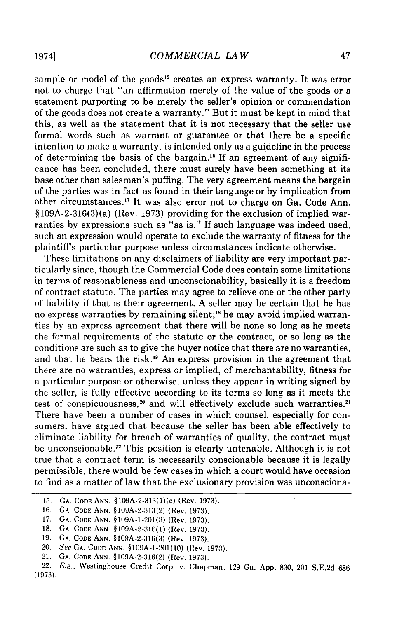sample or model of the goods<sup>15</sup> creates an express warranty. It was error not to charge that "an affirmation merely of the value of the goods or a statement purporting to be merely the seller's opinion or commendation of the goods does not create a warranty." But it must be kept in mind that this, as well as the statement that it is not necessary that the seller use formal words such as warrant or guarantee or that there be a specific intention to make a warranty, is intended only as a guideline in the process of determining the basis of the bargain.<sup>16</sup> If an agreement of any significance has been concluded, there must surely have been something at its base other than salesman's puffing. The very agreement means the bargain of the parties was in fact as found in their language or by implication from other circumstances.<sup>17</sup> It was also error not to charge on Ga. Code Ann.  $§109A-2-316(3)(a)$  (Rev. 1973) providing for the exclusion of implied warranties by expressions such as "as is." If such language was indeed used, such an expression would operate to exclude the warranty of fitness for the plaintiff's particular purpose unless circumstances indicate otherwise.

These limitations on any disclaimers of liability are very important particularly since, though the Commercial Code does contain some limitations in terms of reasonableness and unconscionability, basically it is a freedom of contract statute. The parties may agree to relieve one or the other party of liability if that is their agreement. A seller may be certain that he has no express warranties by remaining silent;<sup>18</sup> he may avoid implied warranties by an express agreement that there will be none so long as he meets the formal requirements of the statute or the contract, or so long as the conditions are such as to give the buyer notice that there are no warranties, and that he bears the risk.<sup>19</sup> An express provision in the agreement that there are no warranties, express or implied, of merchantability, fitness for a particular purpose or otherwise, unless they appear in writing signed by the seller, is fully effective according to its terms so long as it meets the test of conspicuousness,<sup>20</sup> and will effectively exclude such warranties.<sup>2</sup> There have been a number of cases in which counsel, especially for consumers, have argued that because the seller has been able effectively to eliminate liability for breach of warranties of quality, the contract must be unconscionable.<sup>22</sup> This position is clearly untenable. Although it is not true that a contract term is necessarily conscionable because it is legally permissible, there would be few cases in which a court would have occasion to find as a matter of law that the exclusionary provision was unconsciona-

**<sup>15.</sup> GA. CODE ANN.** §109A-2-313(1)(c) (Rev. 1973).

**<sup>16.</sup> GA. CODE ANN. §109A-2-313(2)** (Rev. **1973).**

<sup>17.</sup> **GA. CODE ANN. §109A-1-201(3)** (Rev. **1973).**

**<sup>18.</sup> GA. CODE ANN. §109A-2-316(1)** (Rev. **1973).**

**<sup>19.</sup> GA. CODE ANN. §109A-2-316(3)** (Rev. **1973).**

<sup>20.</sup> See **GA. CODE ANN. §109A-1-201(10)** (Rev. **1973).**

<sup>21.</sup> **GA. CODE ANN. §109A-2-316(2)** (Rev. **1973).**

<sup>22.</sup> E.g., Westinghouse Credit Corp. v. Chapman, 129 Ga. App. 830, 201 S.E.2d 686 (1973).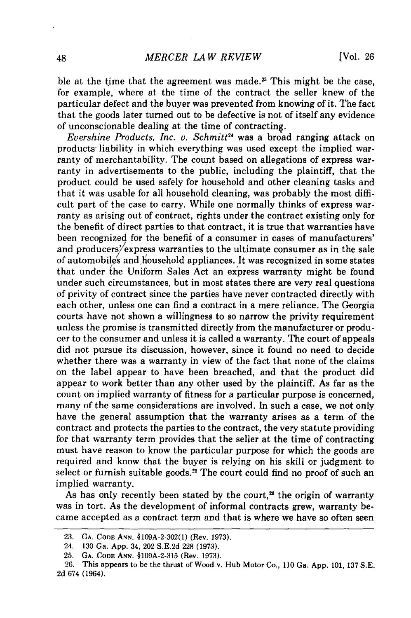ble at the time that the agreement was made.<sup>23</sup> This might be the case, for example, where at the time of the contract the seller knew of the particular defect and the buyer was prevented from knowing of it. The fact that the goods later turned out to be defective is not of itself any evidence of unconscionable dealing at the time of contracting.

*Evershine Products, Inc. v. Schmitt*<sup>24</sup> was a broad ranging attack on products liability in which everything was used except the implied warranty of merchantability. The count based on allegations of express warranty in advertisements to the public, including the plaintiff, that the product could be used safely for household and other cleaning tasks and that it was usable for all household cleaning, was probably the most difficult part of the case to carry. While one normally thinks of express warranty as arising out of contract, rights under the contract existing only for the benefit of direct parties to that contract, it is true that warranties have been recognized for the benefit of a consumer in cases of manufacturers' and producers/express warranties to the ultimate consumer as in the sale of automobiles and household appliances. It was recognized in some states that under the Uniform Sales Act an express warranty might be found under such circumstances, but in most states there are very real questions of privity of contract since the parties have never contracted directly with each other, unless one can find a contract in a mere reliance. The Georgia courts have not shown a willingness to so narrow the privity requirement unless the promise is transmitted directly from the manufacturer or producer to the consumer and unless it is called a warranty. The court of appeals did not pursue its discussion, however, since it found no need to decide whether there was a warranty in view of the fact that none of the claims on the label appear to have been breached, and that the product did appear to work better than any other used by the plaintiff. As far as the count on implied warranty of fitness for a particular purpose is concerned, many of the same considerations are involved. In such a case, we not only have the general assumption that the warranty arises as a term of the contract and protects the parties to the contract, the very statute providing for that warranty term provides that the seller at the time of contracting must have reason to know the particular purpose for which the goods are required and know that the buyer is relying on his skill or judgment to select or furnish suitable goods.<sup>25</sup> The court could find no proof of such an implied warranty.

As has only recently been stated by the court,<sup>26</sup> the origin of warranty was in tort. As the development of informal contracts grew, warranty became accepted as a contract term and that is where we have so often seen

**<sup>23.</sup> GA. CODE ANN.** §109A-2-302(1) (Rev. 1973).

<sup>24.</sup> 130 Ga. App. 34, 202 S.E.2d 228 (1973).

**<sup>25.</sup> GA.** CODE **ANN.** §109A-2-315 (Rev. 1973).

<sup>26.</sup> This appears to be the thrust of Wood v. Hub Motor Co., 110 Ga. App. 101, 137 S.E. 2d 674 (1964).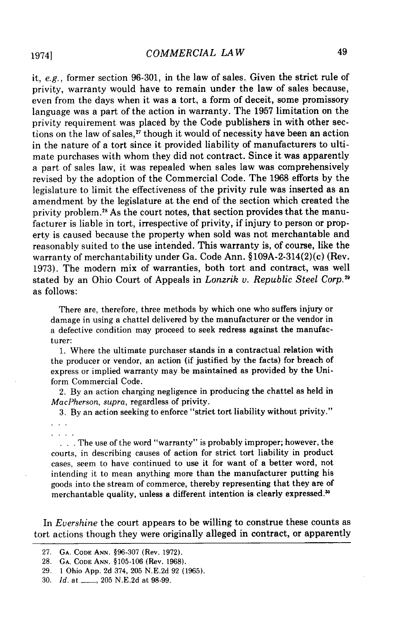it, e.g., former section 96-301, in the law of sales. Given the strict rule of privity, warranty would have to remain under the law of sales because, even from the days when it was a tort, a form of deceit, some promissory language was a part of the action in warranty. The 1957 limitation on the privity requirement was placed by the Code publishers in with other sections on the law of sales," though it would of necessity have been an action in the nature of a tort since it provided liability of manufacturers to ultimate purchases with whom they did not contract. Since it was apparently a part of sales law, it was repealed when sales law was comprehensively revised by the adoption of the Commercial Code. The 1968 efforts by the legislature to limit the effectiveness of the privity rule was inserted as an amendment by the legislature at the end of the section which created the privity problem.<sup>28</sup> As the court notes, that section provides that the manufacturer is liable in tort, irrespective of privity, if injury to person or property is caused because the property when sold was not merchantable and reasonably suited to the use intended. This warranty is, of course, like the warranty of merchantability under Ga. Code Ann. §109A-2-314(2)(c) (Rev. 1973). The modern mix of warranties, both tort and contract, was well stated by an Ohio Court of Appeals in *Lonzrik v. Republic Steel Corp. <sup>9</sup>* as follows:

There are, therefore, three methods by which one who suffers injury or damage in using a chattel delivered by the manufacturer or the vendor in a defective condition may proceed to seek redress against the manufacturer:

1. Where the ultimate purchaser stands in a contractual relation with the producer or vendor, an action (if justified by the facts) for breach of express or implied warranty may be maintained as provided by the Uniform Commercial Code.

2. By an action charging negligence in producing the chattel as held in *MacPherson, supra,* regardless of privity.

3. By an action seeking to enforce "strict tort liability without privity."

 $\sim$   $\sim$   $\sim$ 

... The use of the word "warranty" is probably improper; however, the courts, in describing causes of action for strict tort liability in product cases, seem to have continued to use it for want of a better word, not intending it to mean anything more than the manufacturer putting his goods into the stream of commerce, thereby representing that they are of merchantable quality, unless a different intention is clearly expressed.<sup>30</sup>

In *Evershine* the court appears to be willing to construe these counts as tort actions though they were originally alleged in contract, or apparently

30. *Id.* at **\_\_,** 205 N.E.2d at 98-99.

19741

<sup>27.</sup> **GA. CODE ANN.** §96-307 (Rev. 1972).

<sup>28.</sup> **GA. CODE ANN.** §105-106 (Rev. 1968).

<sup>29. 1</sup> Ohio App. 2d 374, 205 N.E.2d 92 (1965).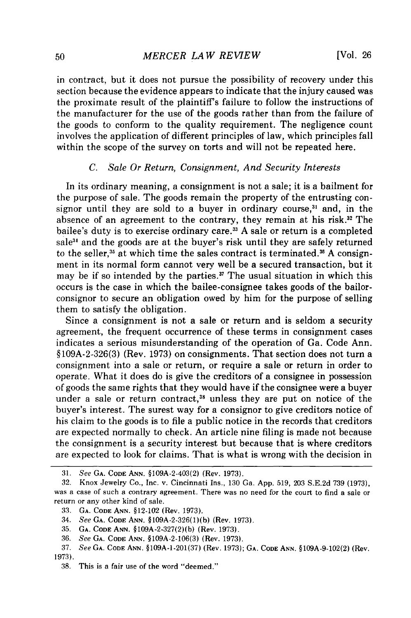in contract, but it does not pursue the possibility of recovery under this section because the evidence appears to indicate that the injury caused was the proximate result of the plaintiffs failure to follow the instructions of the manufacturer for the use of the goods rather than from the failure of the goods to conform to the quality requirement. The negligence count involves the application of different principles of law, which principles fall within the scope of the survey on torts and will not be repeated here.

#### *C. Sale Or Return, Consignment, And Security Interests*

In its ordinary meaning, a consignment is not a sale; it is a bailment for the purpose of sale. The goods remain the property of the entrusting consignor until they are sold to a buyer in ordinary course,<sup>31</sup> and, in the absence of an agreement to the contrary, they remain at his risk.<sup>32</sup> The bailee's duty is to exercise ordinary care. 33 A sale or return is a completed sale<sup>31</sup> and the goods are at the buyer's risk until they are safely returned to the seller,<sup>35</sup> at which time the sales contract is terminated.<sup>36</sup> A consignment in its normal form cannot very well be a secured transaction, but it may be if so intended by the parties.<sup> $\pi$ </sup> The usual situation in which this occurs is the case in which the bailee-consignee takes goods of the bailorconsignor to secure an obligation owed by him for the purpose of selling them to satisfy the obligation.

Since a consignment is not a sale or return and is seldom a security agreement, the frequent occurrence of these terms in consignment cases indicates a serious misunderstanding of the operation of Ga. Code Ann. §109A-2-326(3) (Rev. 1973) on consignments. That section does not turn a consignment into a sale or return, or require a sale or return in order to operate. What it does do is give the creditors of a consignee in possession of goods the same rights that they would have if the consignee were a buyer under a sale or return contract,<sup>38</sup> unless they are put on notice of the buyer's interest. The surest way for a consignor to give creditors notice of his claim to the goods is to file a public notice in the records that creditors are expected normally to check. An article nine filing is made not because the consignment is a security interest but because that is where creditors are expected to look for claims. That is what is wrong with the decision in

**<sup>31.</sup>** See **GA.** CODE ANN. §109A-2-403(2) (Rev. 1973).

<sup>32.</sup> Knox Jewelry Co., Inc. v. Cincinnati Ins., **130** Ga. **App. 519, 203 S.E.2d 739 (1973),** was a case of such a contrary agreement. There was no need for the court to find a sale or return or any other kind of sale.

<sup>33.</sup> **GA. CODE ANN.** §12-102 (Rev. **1973).**

<sup>34.</sup> See **GA. CODE ANN. §109A-2-326(1)(b)** (Rev. **1973).**

**<sup>35.</sup> GA. CODE ANN. §109A-2-327(2)(b)** (Rev. **1973).**

<sup>36.</sup> See **GA.** CODE **ANN. §109A-2-106(3)** (Rev. **1973).**

**<sup>37.</sup>** See **GA. CODE ANN. §109A-1-201(37)** (Rev. **1973); GA. CODE ANN. §109A-9-102(2)** (Rev. **1973).**

**<sup>38.</sup>** This is a fair use of the word "deemed."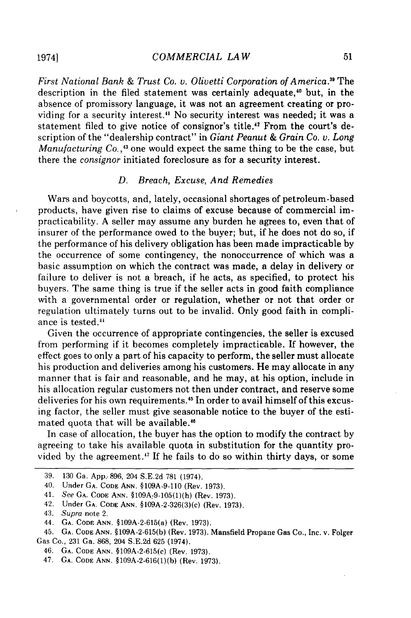*First National Bank & Trust Co. v. Olivetti Corporation of America."* The description in the filed statement was certainly adequate,4° but, in the absence of promissory language, it was not an agreement creating or providing for a security interest.<sup>41</sup> No security interest was needed; it was a statement filed to give notice of consignor's title.<sup>42</sup> From the court's description of the "dealership contract" in *Giant Peanut & Grain Co. v. Long Manufacturing Co.*,<sup>43</sup> one would expect the same thing to be the case, but there the *consignor* initiated foreclosure as for a security interest.

# *D. Breach, Excuse, And Remedies*

Wars and boycotts, and, lately, occasional shortages of petroleum-based products, have given rise to claims of excuse because of commercial impracticability. A seller may assume any burden he agrees to, even that of insurer of the performance owed to the buyer; but, if he does not do so, if the performance of his delivery obligation has been made impracticable by the occurrence of some contingency, the nonoccurrence of which was a basic assumption on which the contract was made, a delay in delivery or failure to deliver is not a breach, if he acts, as specified, to protect his buyers. The same thing is true if the seller acts in good faith compliance with a governmental order or regulation, whether or not that order or regulation ultimately turns out to be invalid. Only good faith in compliance is tested."

Given the occurrence of appropriate contingencies, the seller is excused from performing if it becomes completely impracticable. If however, the effect goes to only a part of his capacity to perform, the seller must allocate his production and deliveries among his customers. He may allocate in any manner that is fair and reasonable, and he may, at his option, include in his allocation regular customers not then under contract, and reserve some deliveries for his own requirements.<sup>45</sup> In order to avail himself of this excusing factor, the seller must give seasonable notice to the buyer of the estimated quota that will be available."

In case of allocation, the buyer has the option to modify the contract by agreeing to take his available quota in substitution for the quantity provided by the agreement.<sup>47</sup> If he fails to do so within thirty days, or some

<sup>39. 130</sup> Ga. App.. 896, 204 S.E.2d 781 (1974).

<sup>40.</sup> Under GA. **CODE ANN. §109A-9-110** (Rev. 1973).

<sup>41.</sup> *See* GA. **CODE ANN.** §109A-9-105(1)(h) (Rev. 1973).

<sup>42.</sup> Under GA. **CODE ANN.** §109A-2-326(3)(c) (Rev. 1973).

<sup>43.</sup> Supra note 2.

<sup>44.</sup> GA. **CODE ANN.** §109A-2-615(a) (Rev. 1973).

<sup>45.</sup> GA. **CODE ANN.** § 109A-2-615(b) (Rev. 1973). Mansfield Propane Gas Co., Inc. v. Folger Gas Co., 231 Ga. 868, 204 S.E.2d 625 (1974).

<sup>46.</sup> GA. **CODE** ANN. §109A-2-615(c) (Rev. 1973).

<sup>47.</sup> **GA. CODE** ANN, §109A-2-616(1)(b) (Rev. 1973).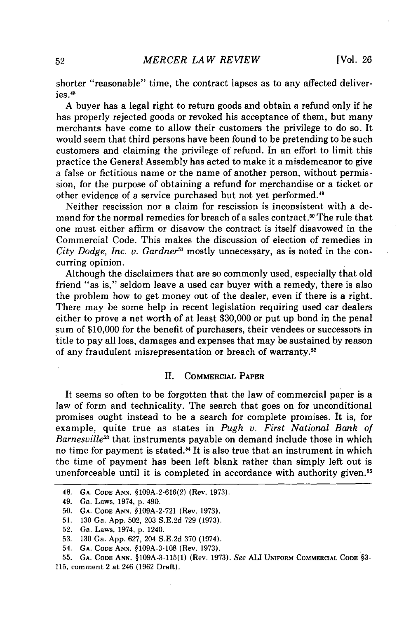shorter "reasonable" time, the contract lapses as to any affected deliveries.<sup>48</sup>

A buyer has a legal right to return goods and obtain a refund only if he has properly rejected goods or revoked his acceptance of them, but many merchants have come to allow their customers the privilege to do so. It would seem that third persons have been found to be pretending to be such customers and claiming the privilege of refund. In an effort to limit this practice the General Assembly has acted to make it a misdemeanor to give a false or fictitious name or the name of another person, without permission, for the purpose of obtaining a refund for merchandise or a ticket or other evidence of a service purchased but not yet performed.49

Neither rescission nor a claim for rescission is inconsistent with a demand for the normal remedies for breach of a sales contract.<sup>50</sup> The rule that one must either affirm or disavow the contract is itself disavowed in the Commercial Code. This makes the discussion of election of remedies in *City Dodge, Inc. v. Gardner51* mostly unnecessary, as is noted in the concurring opinion.

Although the disclaimers that are so commonly used, especially that old friend "as is," seldom leave a used car buyer with a remedy, there is also the problem how to get money out of the dealer, even if there is a right. There may be some help in recent legislation requiring used car dealers either to prove a net worth of at least \$30,000 or put up bond in the penal sum of \$10,000 for the benefit of purchasers, their vendees or successors in title to pay all loss, damages and expenses that may be sustained by reason of any fraudulent misrepresentation or breach of warranty. <sup>5</sup>

#### **11. COMMERCIAL** PAPER

It seems so often to be forgotten that the law of commercial paper is a law of form and technicality. The search that goes on for unconditional promises ought instead to be a search for complete promises. It is, for example, quite true as states in *Pugh v. First National Bank of Barnesville53* that instruments payable on demand include those in which no time for payment is stated.<sup>54</sup> It is also true that an instrument in which the time of payment has been left blank rather than simply left out is unenforceable until it is completed in accordance with authority given.<sup>55</sup>

54. **GA. CODE ANN.** §109A-3-108 (Rev. 1973).

**55.** GA. **CODE ANN.** §109A-3-115(1) (Rev. 1973). See ALI UNIFORM COMMERCIAL **CODE** §3- 115, comment 2 at 246 (1962 Draft).

<sup>48.</sup> **GA. CODE ANN.** §109A-2-616(2) (Rev. 1973).

<sup>49.</sup> Ga. Laws, 1974, p. 490.

<sup>50.</sup> **GA. CODE ANN.** §109A-2-721 (Rev. 1973).

<sup>51. 130</sup> Ga. App. 502, 203 S.E.2d 729 (1973).

<sup>52.</sup> Ga. Laws, 1974, p. 1240.

<sup>53. 130</sup> Ga. App. 627, 204 S.E.2d 370 (1974).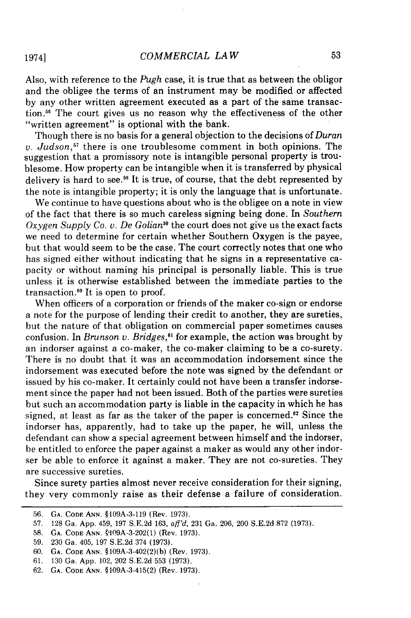Also, with reference to the *Pugh* case, it is true that as between the obligor and the obligee the terms of an instrument may be modified or affected by any other written agreement executed as a part of the same transaction.<sup>56</sup> The court gives us no reason why the effectiveness of the other "written agreement" is optional with the bank.

Though there is no basis for a general objection to the decisions of *Duran v. Judson,57* there is one troublesome comment in both opinions. The suggestion that a promissory note is intangible personal property is troublesome. How property can be intangible when it is transferred by physical delivery is hard to see.<sup>58</sup> It is true, of course, that the debt represented by the note is intangible property; it is only the language that is unfortunate.

We continue to have questions about who is the obligee on a note in view of the fact that there is so much careless signing being done. In *Southern Oxygen Supply Co. v. De Golian"9* the court does not give us the exact facts we need to determine for certain whether Southern Oxygen is the payee, but that would seem to be the case. The court correctly notes that one who has signed either without indicating that he signs in a representative capacity or without naming his principal is personally liable. This is true unless it is otherwise established between the immediate parties to the transaction.<sup> $60$ </sup> It is open to proof.

When officers of a corporation or friends of the maker co-sign or endorse a note for the purpose of lending their credit to another, they are sureties, but the nature of that obligation on commercial paper sometimes causes confusion. In *Brunson v. Bridges,"* for example, the action was brought by an indorser against a co-maker, the co-maker claiming to be a co-surety. There is no doubt that it was an accommodation indorsement since the indorsement was executed before the note was signed by the defendant or issued by his co-maker. It certainly could not have been a transfer indorsement since the paper had not been issued. Both of the parties were sureties but such an accommodation party is liable in the capacity in which he has signed, at least as far as the taker of the paper is concerned.<sup>82</sup> Since the indorser has, apparently, had to take up the paper, he will, unless the defendant can show a special agreement between himself and the indorser, be entitled to enforce the paper against a maker as would any other indorser be able to enforce it against a maker. They are not co-sureties. They are successive sureties.

Since surety parties almost never receive consideration for their signing, they very commonly raise as their defense a failure of consideration.

1974]

<sup>56.</sup> GA. CODE ANN. §109A-3-119 (Rev. 1973).

<sup>57. 128</sup> Ga. App. 459, 197 S.E.2d 163, aff'd, 231 Ga. 206, 200 S.E.2d 872 (1973).

<sup>58.</sup> **GA.** CODE **ANN.** '109A-3-202(1) (Rev. 1973).

<sup>59. 230</sup> Ga. 405, 197 S.E.2d 374 (1973).

<sup>60.</sup> **GA.** CODE ANN. §109A-3-402(2)(b) (Rev. 1973).

<sup>61. 130</sup> Ga. App. 102, 202 S.E.2d 553 (1973).

<sup>62.</sup> GA. CODE ANN. §109A-3-415(2) (Rev. 1973).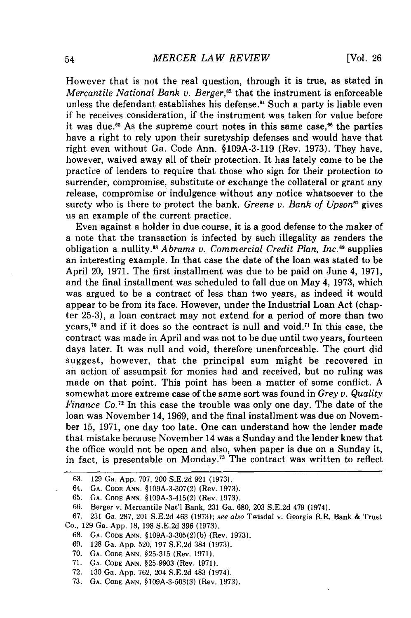However that is not the real question, through it is true, as stated in *Mercantile National Bank v. Berger*,<sup>63</sup> that the instrument is enforceable unless the defendant establishes his defense. 4 Such a party is liable even if he receives consideration, if the instrument was taken for value before it was due **. <sup>5</sup>**As the supreme court notes in this same case,"6 the parties have a right to rely upon their suretyship defenses and would have that right even without Ga. Code Ann. §109A-3-119 (Rev. 1973). They have, however, waived away all of their protection. It has lately come to be the practice of lenders to require that those who sign for their protection to surrender, compromise, substitute or exchange the collateral or grant any release, compromise or indulgence without any notice whatsoever to the surety who is there to protect the bank. *Greene v. Bank of Upson67* gives us an example of the current practice.

Even against a holder in due course, it is a good defense to the maker of a note that the transaction is infected by such illegality as renders the obligation a nullity.6 *Abrams v. Commercial Credit Plan, Inc."* supplies an interesting example. In that case the date of the loan was stated to be April 20, 1971. The first installment was due to be paid on June 4, 1971, and the final installment was scheduled to fall due on May 4, 1973, which was argued to be a contract of less than two years, as indeed it would appear to be from its face. However, under the Industrial Loan Act (chapter 25-3), a loan contract may not extend for a period of more than two years,<sup>70</sup> and if it does so the contract is null and void.<sup>71</sup> In this case, the contract was made in April and was not to be due until two years, fourteen days later. It was null and void, therefore unenforceable. The court did suggest, however, that the principal sum might be recovered in an action of assumpsit for monies had and received, but no ruling was made on that point. This point has been a matter of some conflict. A somewhat more extreme case of the same sort was found in *Grey v. Quality Finance Co."* In this case the trouble was only one day. The date of the loan was November 14, 1969, and the final installment was due on November 15, 1971, one day too late. One can understand how the lender made that mistake because November 14 was a Sunday and the lender knew that the office would not be open and also, when paper is due on a Sunday it, in fact, is presentable on Monday.<sup>73</sup> The contract was written to reflect

**65. GA.** CODE ANN. §109A-3-415(2) (Rev. 1973).

- 68. **GA. CODE** ANN. §109A-3-305(2)(b) (Rev. 1973).
- 69. 128 Ga. App. 520, 197 S.E.2d 384 (1973).
- **70. GA. CODE** ANN. §25-315 (Rev. 1971).
- 71. **GA. CODE ANN.** §25-9903 (Rev. 1971).
- 72. 130 Ga. App. 762, 204 S.E.2d 483 (1974).
- 73. **GA. CODE ANN.** §109A-3-503(3) (Rev. 1973).

<sup>63. 129</sup> Ga. App. 707, 200 S.E.2d 921 (1973).

<sup>64.</sup> **GA.** CODE ANN. §109A-3-307(2) (Rev. 1973).

<sup>66.</sup> Berger v. Mercantile Nat'l Bank, 231 Ga. 680, 203 S.E.2d 479 (1974).

<sup>67. 231</sup> Ga. 287, 201 S.E.2d 463 (1973); see also Twisdal v. Georgia R.R. Bank & Trust Co., 129 Ga. App. 18, 198 S.E.2d 396 (1973).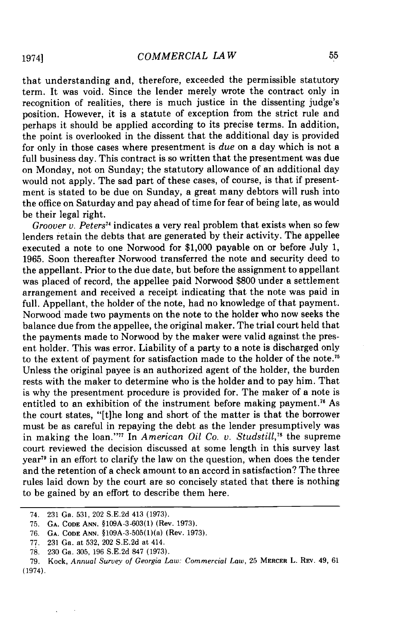that understanding and, therefore, exceeded the permissible statutory term. It was void. Since the lender merely wrote the contract only in recognition of realities, there is much justice in the dissenting judge's position. However, it is a statute of exception from the strict rule and perhaps it should be applied according to its precise terms. In addition, the point is overlooked in the dissent that the additional day is provided for only in those cases where presentment is *due* on a day which is not a full business day. This contract is so written that the presentment was due on Monday, not on Sunday; the statutory allowance of an additional day would not apply. The sad part of these cases, of course, is that if presentment is stated to be due on Sunday, a great many debtors will rush into the office on Saturday and pay ahead of time for fear of being late, as would be their legal right.

*Groover v. Peters<sup>14</sup>* indicates a very real problem that exists when so few lenders retain the debts that are generated by their activity. The appellee executed a note to one Norwood for \$1,000 payable on or before July 1, 1965. Soon thereafter Norwood transferred the note and security deed to the appellant. Prior to the due date, but before the assignment to appellant was placed of record, the appellee paid Norwood \$800 under a settlement arrangement and received a receipt indicating that the note was paid in full. Appellant, the holder of the note, had no knowledge of that payment. Norwood made two payments on the note to the holder who now seeks the balance due from the appellee, the original maker. The trial court held that the payments made to Norwood by the maker were valid against the present holder. This was error. Liability of a party to a note is discharged only to the extent of payment for satisfaction made to the holder of the note."5 Unless the original payee is an authorized agent of the holder, the burden rests with the maker to determine who is the holder and to pay him. That is why the presentment procedure is provided for. The maker of a note is entitled to an exhibition of the instrument before making payment.<sup>76</sup> As the court states, "[tihe long and short of the matter is that the borrower must be as careful in repaying the debt as the lender presumptively was in making the loan."<sup>77</sup> In *American Oil Co. v. Studstill*,<sup>78</sup> the supreme court reviewed the decision discussed at some length in this survey last year<sup>79</sup> in an effort to clarify the law on the question, when does the tender and the retention of a check amount to an accord in satisfaction? The three rules laid down by the court are so concisely stated that there is nothing to be gained by an effort to describe them here.

<sup>74. 231</sup> Ga. 531, 202 S.E.2d 413 (1973).

**<sup>75.</sup> GA. CODE ANN. §109A-3-603(1)** (Rev. 1973).

**<sup>76.</sup> GA. CODE ANN.** §109A-3-505(1)(a) (Rev. 1973).

<sup>77. 231</sup> Ga. at 532, 202 S.E.2d at 414.

<sup>78. 230</sup> Ga. 305, 196 S.E.2d 847 (1973).

<sup>79.</sup> Kock, *Annual Survey of Georgia Law: Commercial Law,* 25 MERCER L. REV. 49, 61 (1974).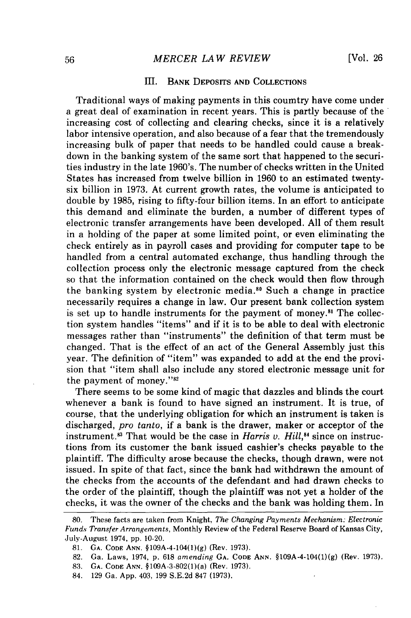#### III. BANK DEPOSITS AND COLLECTIONS

Traditional ways of making payments in this coumtry have come under a great deal of examination in recent years. This is partly because of the increasing cost of collecting and clearing checks, since it is a relatively labor intensive operation, and also because of a fear that the tremendously increasing bulk of paper that needs to be handled could cause a breakdown in the banking system of the same sort that happened to the securities industry in the late 1960's. The number of checks written in the United States has increased from twelve billion in 1960 to an estimated twentysix billion in 1973. At current growth rates, the volume is anticipated to double by 1985, rising to fifty-four billion items. In an effort to anticipate this demand and eliminate the burden, a number of different types of electronic transfer arrangements have been developed. All of them result in a holding of the paper at some limited point, or even eliminating the check entirely as in payroll cases and providing for computer tape to be handled from a central automated exchange, thus handling through the collection process only the electronic message captured from the check so that the information contained on the check would then flow through the banking system by electronic media.8" Such a change in practice necessarily requires a change in law. Our present bank collection system is set up to handle instruments for the payment of money.<sup>81</sup> The collection system handles "items" and if it is to be able to deal with electronic messages rather than "instruments" the definition of that term must be changed. That is the effect of an act of the General Assembly just this year. The definition of "item" was expanded to add at the end the provision that "item shall also include any stored electronic message unit for the payment of money."<sup>82</sup>

There seems to be some kind of magic that dazzles and blinds the court whenever a bank is found to have signed an instrument. It is true, of course, that the underlying obligation for which an instrument is taken is discharged, *pro tanto,* if a bank is the drawer, maker or acceptor of the instrument.<sup>83</sup> That would be the case in *Harris v. Hill*,<sup>84</sup> since on instructions from its customer the bank issued cashier's checks payable to the plaintiff. The difficulty arose because the checks, though drawn, were not issued. In spite of that fact, since the bank had withdrawn the amount of the checks from the accounts of the defendant and had drawn checks to the order of the plaintiff, though the plaintiff was not yet a holder of the checks, it was the owner of the checks and the bank was holding them. In

**<sup>80.</sup>** These facts are taken from Knight, *The Changing Payments Mechanism: Electronic Funds Transfer Arrangements,* Monthly Review of the Federal Reserve Board of Kansas City, July-August 1974, pp. 10-20.

**<sup>81.</sup> GA. CODE** ANN. §109A-4-104(1)(g) (Rev. 1973).

<sup>82.</sup> Ga. Laws, 1974, p. 618 *amending* GA. CODE **ANN.** §109A-4-104(1)(g) (Rev. 1973).

<sup>83.</sup> **GA.** CODE **ANN.** §109A-3-802(1)(a) (Rev. 1973).

<sup>84. 129</sup> Ga. App. 403, 199 S.E.2d 847 (1973).